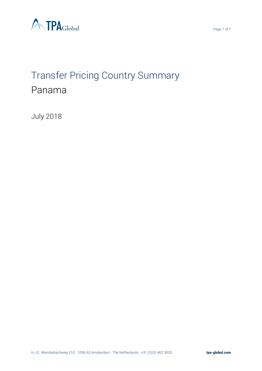

# Transfer Pricing Country Summary Panama

July 2018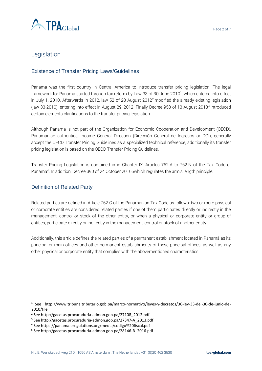

# Legislation

#### Existence of Transfer Pricing Laws/Guidelines

Panama was the first country in Central America to introduce transfer pricing legislation. The legal framework for Panama started through tax reform by Law 33 of 30 June 2010<sup>1</sup>, which entered into effect in July 1, 2010. Afterwards in 2012, law 52 of 28 August 2012<sup>2</sup> modified the already existing legislation (law 33-2010); entering into effect in August 29, 2012. Finally Decree 958 of 13 August 2013<sup>3</sup> introduced certain elements clarifications to the transfer pricing legislation..

Although Panama is not part of the Organization for Economic Cooperation and Development (OECD), Panamanian authorities, Income General Direction (Dirección General de Ingresos or DGI), generally accept the OECD Transfer Pricing Guidelines as a specialized technical reference, additionally its transfer pricing legislation is based on the OECD Transfer Pricing Guidelines.

Transfer Pricing Legislation is contained in in Chapter IX, Articles 762-A to 762-N of the Tax Code of Panama<sup>4</sup>. In addition, Decree 390 of 24 October 20165which regulates the arm's length principle.

#### Definition of Related Party

 $\overline{a}$ 

Related parties are defined in Article 762-C of the Panamanian Tax Code as follows: two or more physical or corporate entities are considered related parties if one of them participates directly or indirectly in the management, control or stock of the other entity, or when a physical or corporate entity or group of entities, participate directly or indirectly in the management, control or stock of another entity.

Additionally, this article defines the related parties of a permanent establishment located in Panamá as its principal or main offices and other permanent establishments of these principal offices, as well as any other physical or corporate entity that complies with the abovementioned characteristics.

<sup>1</sup> See http://www.tribunaltributario.gob.pa/marco-normativo/leyes-y-decretos/36-ley-33-del-30-de-junio-de-2010/file

<sup>2</sup> See http://gacetas.procuraduria-admon.gob.pa/27108\_2012.pdf

<sup>3</sup> See http://gacetas.procuraduria-admon.gob.pa/27347-A\_2013.pdf

<sup>4</sup> See https://panama.eregulations.org/media/codigo%20fiscal.pdf

<sup>5</sup> See http://gacetas.procuraduria-admon.gob.pa/28146-B\_2016.pdf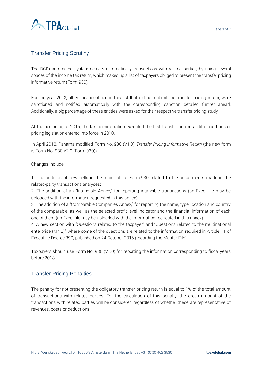

## Transfer Pricing Scrutiny

The DGI's automated system detects automatically transactions with related parties, by using several spaces of the income tax return, which makes up a list of taxpayers obliged to present the transfer pricing informative return (Form 930).

For the year 2013, all entities identified in this list that did not submit the transfer pricing return, were sanctioned and notified automatically with the corresponding sanction detailed further ahead. Additionally, a big percentage of these entities were asked for their respective transfer pricing study.

At the beginning of 2015, the tax administration executed the first transfer pricing audit since transfer pricing legislation entered into force in 2010.

In April 2018, Panama modified Form No. 930 (V1.0), *Transfer Pricing Informative Return* (the new form is Form No. 930 V2.0 (Form 930)).

Changes include:

1. The addition of new cells in the main tab of Form 930 related to the adjustments made in the related-party transactions analyses;

2. The addition of an "Intangible Annex," for reporting intangible transactions (an Excel file may be uploaded with the information requested in this annex);

3. The addition of a "Comparable Companies Annex," for reporting the name, type, location and country of the comparable, as well as the selected profit level indicator and the financial information of each one of them (an Excel file may be uploaded with the information requested in this annex)

4. A new section with "Questions related to the taxpayer" and "Questions related to the multinational enterprise (MNE)," where some of the questions are related to the information required in Article 11 of Executive Decree 390, published on 24 October 2016 (regarding the Master File)

Taxpayers should use Form No. 930 (V1.0) for reporting the information corresponding to fiscal years before 2018.

#### Transfer Pricing Penalties

The penalty for not presenting the obligatory transfer pricing return is equal to 1% of the total amount of transactions with related parties. For the calculation of this penalty, the gross amount of the transactions with related parties will be considered regardless of whether these are representative of revenues, costs or deductions.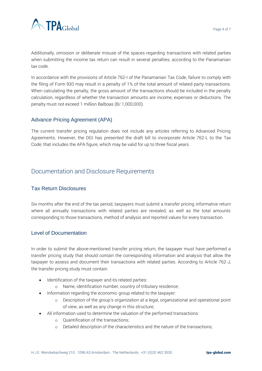

Additionally, omission or deliberate misuse of the spaces regarding transactions with related parties when submitting the income tax return can result in several penalties, according to the Panamanian tax code.

In accordance with the provisions of Article 762-I of the Panamanian Tax Code, failure to comply with the filing of Form 930 may result in a penalty of 1% of the total amount of related-party transactions. When calculating the penalty, the gross amount of the transactions should be included in the penalty calculation, regardless of whether the transaction amounts are income, expenses or deductions. The penalty must not exceed 1 million Balboas (B/.1,000,000).

## Advance Pricing Agreement (APA)

The current transfer pricing regulation does not include any articles referring to Advanced Pricing Agreements. However, the DGI has presented the draft bill to incorporate Article 762-L to the Tax Code, that includes the APA figure, which may be valid for up to three fiscal years.

# Documentation and Disclosure Requirements

## Tax Return Disclosures

Six months after the end of the tax period, taxpayers must submit a transfer pricing informative return where all annually transactions with related parties are revealed, as well as the total amounts corresponding to those transactions, method of analysis and reported values for every transaction.

#### Level of Documentation

In order to submit the above-mentioned transfer pricing return, the taxpayer must have performed a transfer pricing study that should contain the corresponding information and analysis that allow the taxpayer to assess and document their transactions with related parties. According to Article 762-J, the transfer pricing study must contain:

- Identification of the taxpayer and its related parties:
	- o Name, identification number, country of tributary residence;
- Information regarding the economic group related to the taxpayer:
	- o Description of the group's organization at a legal, organizational and operational point of view, as well as any change in this structure;
- All information used to determine the valuation of the performed transactions:
	- o Quantification of the transactions;
	- o Detailed description of the characteristics and the nature of the transactions;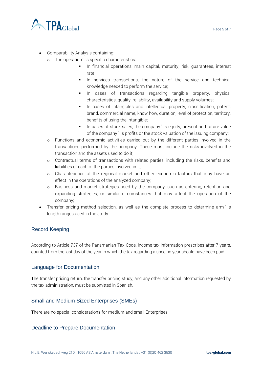

- Comparability Analysis containing:
	- o The operation's specific characteristics:
		- In financial operations, main capital, maturity, risk, quarantees, interest rate;
		- In services transactions, the nature of the service and technical knowledge needed to perform the service;
		- **·** In cases of transactions regarding tangible property, physical characteristics, quality, reliability, availability and supply volumes;
		- In cases of intangibles and intellectual property, classification, patent, brand, commercial name, know how, duration, level of protection, territory, benefits of using the intangible;
		- In cases of stock sales, the company's equity, present and future value of the company's profits or the stock valuation of the issuing company;
	- o Functions and economic activities carried out by the different parties involved in the transactions performed by the company. These must include the risks involved in the transaction and the assets used to do it;
	- o Contractual terms of transactions with related parties, including the risks, benefits and liabilities of each of the parties involved in it;
	- o Characteristics of the regional market and other economic factors that may have an effect in the operations of the analyzed company;
	- o Business and market strategies used by the company, such as entering, retention and expanding strategies, or similar circumstances that may affect the operation of the company;
- Transfer pricing method selection, as well as the complete process to determine arm's length ranges used in the study.

#### Record Keeping

According to Article 737 of the Panamanian Tax Code, income tax information prescribes after 7 years, counted from the last day of the year in which the tax regarding a specific year should have been paid.

#### Language for Documentation

The transfer pricing return, the transfer pricing study, and any other additional information requested by the tax administration, must be submitted in Spanish.

#### Small and Medium Sized Enterprises (SMEs)

There are no special considerations for medium and small Enterprises.

#### Deadline to Prepare Documentation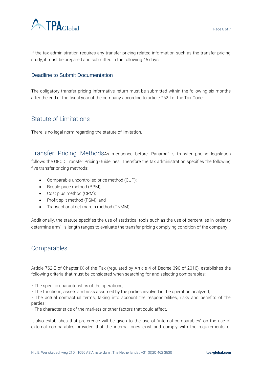

If the tax administration requires any transfer pricing related information such as the transfer pricing study, it must be prepared and submitted in the following 45 days.

#### Deadline to Submit Documentation

The obligatory transfer pricing informative return must be submitted within the following six months after the end of the fiscal year of the company according to article 762-I of the Tax Code.

## Statute of Limitations

There is no legal norm regarding the statute of limitation.

Transfer Pricing MethodsAs mentioned before, Panama's transfer pricing legislation follows the OECD Transfer Pricing Guidelines. Therefore the tax administration specifies the following five transfer pricing methods:

- Comparable uncontrolled price method (CUP);
- Resale price method (RPM);
- Cost plus method (CPM);
- Profit split method (PSM); and
- Transactional net margin method (TNMM).

Additionally, the statute specifies the use of statistical tools such as the use of percentiles in order to determine arm's length ranges to evaluate the transfer pricing complying condition of the company.

# Comparables

Article 762-E of Chapter IX of the Tax (regulated by Article 4 of Decree 390 of 2016), establishes the following criteria that must be considered when searching for and selecting comparables:

- The specific characteristics of the operations;
- The functions, assets and risks assumed by the parties involved in the operation analyzed;

• The actual contractual terms, taking into account the responsibilities, risks and benefits of the parties;

• The characteristics of the markets or other factors that could affect.

It also establishes that preference will be given to the use of "internal comparables" on the use of external comparables provided that the internal ones exist and comply with the requirements of